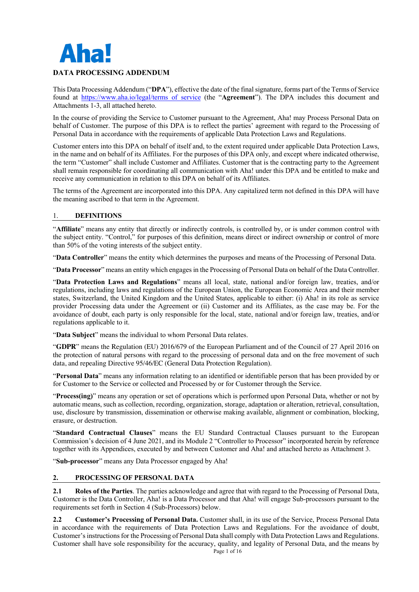

# **DATA PROCESSING ADDENDUM**

This Data Processing Addendum ("**DPA**"), effective the date of the final signature, forms part of the Terms of Service found at https://www.aha.io/legal/terms of service (the "**Agreement**"). The DPA includes this document and Attachments 1-3, all attached hereto.

In the course of providing the Service to Customer pursuant to the Agreement, Aha! may Process Personal Data on behalf of Customer. The purpose of this DPA is to reflect the parties' agreement with regard to the Processing of Personal Data in accordance with the requirements of applicable Data Protection Laws and Regulations.

Customer enters into this DPA on behalf of itself and, to the extent required under applicable Data Protection Laws, in the name and on behalf of its Affiliates. For the purposes of this DPA only, and except where indicated otherwise, the term "Customer" shall include Customer and Affiliates. Customer that is the contracting party to the Agreement shall remain responsible for coordinating all communication with Aha! under this DPA and be entitled to make and receive any communication in relation to this DPA on behalf of its Affiliates.

The terms of the Agreement are incorporated into this DPA. Any capitalized term not defined in this DPA will have the meaning ascribed to that term in the Agreement.

#### 1. **DEFINITIONS**

"**Affiliate**" means any entity that directly or indirectly controls, is controlled by, or is under common control with the subject entity. "Control," for purposes of this definition, means direct or indirect ownership or control of more than 50% of the voting interests of the subject entity.

"**Data Controller**" means the entity which determines the purposes and means of the Processing of Personal Data.

"**Data Processor**" means an entity which engages in the Processing of Personal Data on behalf of the Data Controller.

"**Data Protection Laws and Regulations**" means all local, state, national and/or foreign law, treaties, and/or regulations, including laws and regulations of the European Union, the European Economic Area and their member states, Switzerland, the United Kingdom and the United States, applicable to either: (i) Aha! in its role as service provider Processing data under the Agreement or (ii) Customer and its Affiliates, as the case may be. For the avoidance of doubt, each party is only responsible for the local, state, national and/or foreign law, treaties, and/or regulations applicable to it.

"**Data Subject**" means the individual to whom Personal Data relates.

"**GDPR**" means the Regulation (EU) 2016/679 of the European Parliament and of the Council of 27 April 2016 on the protection of natural persons with regard to the processing of personal data and on the free movement of such data, and repealing Directive 95/46/EC (General Data Protection Regulation).

"**Personal Data**" means any information relating to an identified or identifiable person that has been provided by or for Customer to the Service or collected and Processed by or for Customer through the Service.

"**Process(ing)**" means any operation or set of operations which is performed upon Personal Data, whether or not by automatic means, such as collection, recording, organization, storage, adaptation or alteration, retrieval, consultation, use, disclosure by transmission, dissemination or otherwise making available, alignment or combination, blocking, erasure, or destruction.

"**Standard Contractual Clauses**" means the EU Standard Contractual Clauses pursuant to the European Commission's decision of 4 June 2021, and its Module 2 "Controller to Processor" incorporated herein by reference together with its Appendices, executed by and between Customer and Aha! and attached hereto as Attachment 3.

"**Sub-processor**" means any Data Processor engaged by Aha!

#### **2. PROCESSING OF PERSONAL DATA**

**2.1 Roles of the Parties**. The parties acknowledge and agree that with regard to the Processing of Personal Data, Customer is the Data Controller, Aha! is a Data Processor and that Aha! will engage Sub-processors pursuant to the requirements set forth in Section 4 (Sub-Processors) below.

**2.2 Customer's Processing of Personal Data.** Customer shall, in its use of the Service, Process Personal Data in accordance with the requirements of Data Protection Laws and Regulations. For the avoidance of doubt, Customer's instructions for the Processing of Personal Data shall comply with Data Protection Laws and Regulations. Customer shall have sole responsibility for the accuracy, quality, and legality of Personal Data, and the means by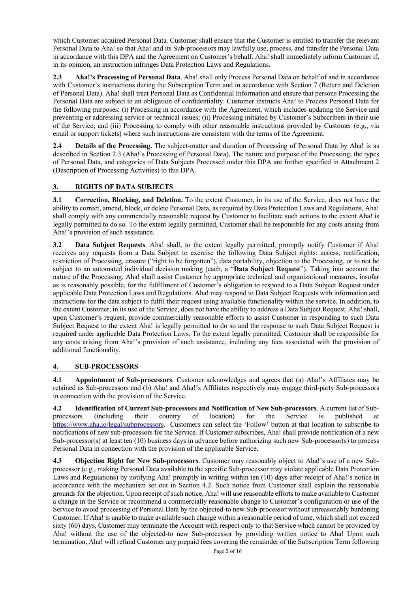which Customer acquired Personal Data. Customer shall ensure that the Customer is entitled to transfer the relevant Personal Data to Aha! so that Aha! and its Sub-processors may lawfully use, process, and transfer the Personal Data in accordance with this DPA and the Agreement on Customer's behalf. Aha! shall immediately inform Customer if, in its opinion, an instruction infringes Data Protection Laws and Regulations.

**2.3 Aha!'s Processing of Personal Data**. Aha! shall only Process Personal Data on behalf of and in accordance with Customer's instructions during the Subscription Term and in accordance with Section 7 (Return and Deletion of Personal Data). Aha! shall treat Personal Data as Confidential Information and ensure that persons Processing the Personal Data are subject to an obligation of confidentiality. Customer instructs Aha! to Process Personal Data for the following purposes: (i) Processing in accordance with the Agreement, which includes updating the Service and preventing or addressing service or technical issues; (ii) Processing initiated by Customer's Subscribers in their use of the Service; and (iii) Processing to comply with other reasonable instructions provided by Customer (e.g., via email or support tickets) where such instructions are consistent with the terms of the Agreement.

**2.4 Details of the Processing.** The subject-matter and duration of Processing of Personal Data by Aha! is as described in Section 2.3 (Aha!'s Processing of Personal Data). The nature and purpose of the Processing, the types of Personal Data, and categories of Data Subjects Processed under this DPA are further specified in Attachment 2 (Description of Processing Activities) to this DPA.

# **3. RIGHTS OF DATA SUBJECTS**

**3.1 Correction, Blocking, and Deletion.** To the extent Customer, in its use of the Service, does not have the ability to correct, amend, block, or delete Personal Data, as required by Data Protection Laws and Regulations, Aha! shall comply with any commercially reasonable request by Customer to facilitate such actions to the extent Aha! is legally permitted to do so. To the extent legally permitted, Customer shall be responsible for any costs arising from Aha!'s provision of such assistance.

**3.2 Data Subject Requests**. Aha! shall, to the extent legally permitted, promptly notify Customer if Aha! receives any requests from a Data Subject to exercise the following Data Subject rights: access, rectification, restriction of Processing, erasure ("right to be forgotten"), data portability, objection to the Processing, or to not be subject to an automated individual decision making (each, a "**Data Subject Request**"). Taking into account the nature of the Processing, Aha! shall assist Customer by appropriate technical and organizational measures, insofar as is reasonably possible, for the fulfillment of Customer's obligation to respond to a Data Subject Request under applicable Data Protection Laws and Regulations. Aha! may respond to Data Subject Requests with information and instructions for the data subject to fulfil their request using available functionality within the service. In addition, to the extent Customer, in its use of the Service, does not have the ability to address a Data Subject Request, Aha! shall, upon Customer's request, provide commercially reasonable efforts to assist Customer in responding to such Data Subject Request to the extent Aha! is legally permitted to do so and the response to such Data Subject Request is required under applicable Data Protection Laws. To the extent legally permitted, Customer shall be responsible for any costs arising from Aha!'s provision of such assistance, including any fees associated with the provision of additional functionality.

# **4. SUB-PROCESSORS**

**4.1 Appointment of Sub-processors**. Customer acknowledges and agrees that (a) Aha!'s Affiliates may be retained as Sub-processors and (b) Aha! and Aha!'s Affiliates respectively may engage third-party Sub-processors in connection with the provision of the Service.

**4.2 Identification of Current Sub-processors and Notification of New Sub-processors**. A current list of Subprocessors (including their country of location) for the Service is published at https://www.aha.io/legal/subprocessors. Customers can select the 'Follow' button at that location to subscribe to notifications of new sub-processors for the Service. If Customer subscribes, Aha! shall provide notification of a new Sub-processor(s) at least ten (10) business days in advance before authorizing such new Sub-processor(s) to process Personal Data in connection with the provision of the applicable Service.

**4.3 Objection Right for New Sub-processors**. Customer may reasonably object to Aha!'s use of a new Subprocessor (e.g., making Personal Data available to the specific Sub-processor may violate applicable Data Protection Laws and Regulations) by notifying Aha! promptly in writing within ten (10) days after receipt of Aha!'s notice in accordance with the mechanism set out in Section 4.2. Such notice from Customer shall explain the reasonable grounds for the objection. Upon receipt of such notice, Aha! will use reasonable efforts to make available to Customer a change in the Service or recommend a commercially reasonable change to Customer's configuration or use of the Service to avoid processing of Personal Data by the objected-to new Sub-processor without unreasonably burdening Customer. If Aha! is unable to make available such change within a reasonable period of time, which shall not exceed sixty (60) days, Customer may terminate the Account with respect only to that Service which cannot be provided by Aha! without the use of the objected-to new Sub-processor by providing written notice to Aha! Upon such termination, Aha! will refund Customer any prepaid fees covering the remainder of the Subscription Term following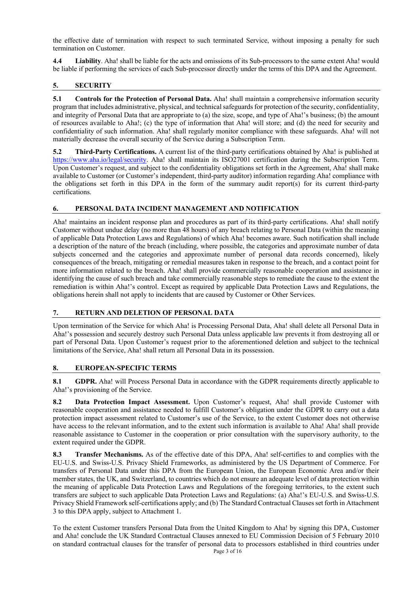the effective date of termination with respect to such terminated Service, without imposing a penalty for such termination on Customer.

**4.4 Liability**. Aha! shall be liable for the acts and omissions of its Sub-processors to the same extent Aha! would be liable if performing the services of each Sub-processor directly under the terms of this DPA and the Agreement.

# **5. SECURITY**

**5.1 Controls for the Protection of Personal Data.** Aha! shall maintain a comprehensive information security program that includes administrative, physical, and technical safeguards for protection of the security, confidentiality, and integrity of Personal Data that are appropriate to (a) the size, scope, and type of Aha!'s business; (b) the amount of resources available to Aha!; (c) the type of information that Aha! will store; and (d) the need for security and confidentiality of such information. Aha! shall regularly monitor compliance with these safeguards. Aha! will not materially decrease the overall security of the Service during a Subscription Term.

**5.2 Third-Party Certifications.** A current list of the third-party certifications obtained by Aha! is published at https://www.aha.jo/legal/security. Aha! shall maintain its ISO27001 certification during the Subscription Term. Upon Customer's request, and subject to the confidentiality obligations set forth in the Agreement, Aha! shall make available to Customer (or Customer's independent, third-party auditor) information regarding Aha! compliance with the obligations set forth in this DPA in the form of the summary audit report(s) for its current third-party certifications.

# **6. PERSONAL DATA INCIDENT MANAGEMENT AND NOTIFICATION**

Aha! maintains an incident response plan and procedures as part of its third-party certifications. Aha! shall notify Customer without undue delay (no more than 48 hours) of any breach relating to Personal Data (within the meaning of applicable Data Protection Laws and Regulations) of which Aha! becomes aware. Such notification shall include a description of the nature of the breach (including, where possible, the categories and approximate number of data subjects concerned and the categories and approximate number of personal data records concerned), likely consequences of the breach, mitigating or remedial measures taken in response to the breach, and a contact point for more information related to the breach. Aha! shall provide commercially reasonable cooperation and assistance in identifying the cause of such breach and take commercially reasonable steps to remediate the cause to the extent the remediation is within Aha!'s control. Except as required by applicable Data Protection Laws and Regulations, the obligations herein shall not apply to incidents that are caused by Customer or Other Services.

#### **7. RETURN AND DELETION OF PERSONAL DATA**

Upon termination of the Service for which Aha! is Processing Personal Data, Aha! shall delete all Personal Data in Aha!'s possession and securely destroy such Personal Data unless applicable law prevents it from destroying all or part of Personal Data. Upon Customer's request prior to the aforementioned deletion and subject to the technical limitations of the Service, Aha! shall return all Personal Data in its possession.

#### **8. EUROPEAN-SPECIFIC TERMS**

8.1 **GDPR.** Aha! will Process Personal Data in accordance with the GDPR requirements directly applicable to Aha!'s provisioning of the Service.

**8.2 Data Protection Impact Assessment.** Upon Customer's request, Aha! shall provide Customer with reasonable cooperation and assistance needed to fulfill Customer's obligation under the GDPR to carry out a data protection impact assessment related to Customer's use of the Service, to the extent Customer does not otherwise have access to the relevant information, and to the extent such information is available to Aha! Aha! shall provide reasonable assistance to Customer in the cooperation or prior consultation with the supervisory authority, to the extent required under the GDPR.

**8.3 Transfer Mechanisms.** As of the effective date of this DPA, Aha! self-certifies to and complies with the EU-U.S. and Swiss-U.S. Privacy Shield Frameworks, as administered by the US Department of Commerce. For transfers of Personal Data under this DPA from the European Union, the European Economic Area and/or their member states, the UK, and Switzerland, to countries which do not ensure an adequate level of data protection within the meaning of applicable Data Protection Laws and Regulations of the foregoing territories, to the extent such transfers are subject to such applicable Data Protection Laws and Regulations: (a) Aha!'s EU-U.S. and Swiss-U.S. Privacy Shield Framework self-certifications apply; and (b) The Standard Contractual Clauses set forth in Attachment 3 to this DPA apply, subject to Attachment 1.

Page 3 of 16 To the extent Customer transfers Personal Data from the United Kingdom to Aha! by signing this DPA, Customer and Aha! conclude the UK Standard Contractual Clauses annexed to EU Commission Decision of 5 February 2010 on standard contractual clauses for the transfer of personal data to processors established in third countries under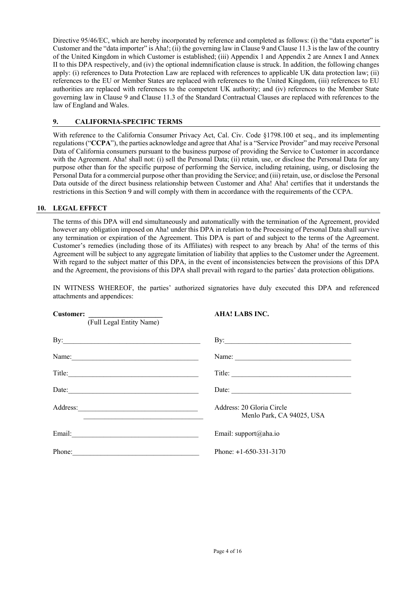Directive 95/46/EC, which are hereby incorporated by reference and completed as follows: (i) the "data exporter" is Customer and the "data importer" is Aha!; (ii) the governing law in Clause 9 and Clause 11.3 is the law of the country of the United Kingdom in which Customer is established; (iii) Appendix 1 and Appendix 2 are Annex I and Annex II to this DPA respectively, and (iv) the optional indemnification clause is struck. In addition, the following changes apply: (i) references to Data Protection Law are replaced with references to applicable UK data protection law; (ii) references to the EU or Member States are replaced with references to the United Kingdom, (iii) references to EU authorities are replaced with references to the competent UK authority; and (iv) references to the Member State governing law in Clause 9 and Clause 11.3 of the Standard Contractual Clauses are replaced with references to the law of England and Wales.

# **9. CALIFORNIA-SPECIFIC TERMS**

With reference to the California Consumer Privacy Act, Cal. Civ. Code §1798.100 et seq., and its implementing regulations ("**CCPA**"), the parties acknowledge and agree that Aha! is a "Service Provider" and may receive Personal Data of California consumers pursuant to the business purpose of providing the Service to Customer in accordance with the Agreement. Aha! shall not: (i) sell the Personal Data; (ii) retain, use, or disclose the Personal Data for any purpose other than for the specific purpose of performing the Service, including retaining, using, or disclosing the Personal Data for a commercial purpose other than providing the Service; and (iii) retain, use, or disclose the Personal Data outside of the direct business relationship between Customer and Aha! Aha! certifies that it understands the restrictions in this Section 9 and will comply with them in accordance with the requirements of the CCPA.

# **10. LEGAL EFFECT**

The terms of this DPA will end simultaneously and automatically with the termination of the Agreement, provided however any obligation imposed on Aha! under this DPA in relation to the Processing of Personal Data shall survive any termination or expiration of the Agreement. This DPA is part of and subject to the terms of the Agreement. Customer's remedies (including those of its Affiliates) with respect to any breach by Aha! of the terms of this Agreement will be subject to any aggregate limitation of liability that applies to the Customer under the Agreement. With regard to the subject matter of this DPA, in the event of inconsistencies between the provisions of this DPA and the Agreement, the provisions of this DPA shall prevail with regard to the parties' data protection obligations.

IN WITNESS WHEREOF, the parties' authorized signatories have duly executed this DPA and referenced attachments and appendices:

| <b>Customer:</b><br>(Full Legal Entity Name)                                                                                                                                                                                                                                                                                                            | <b>AHA! LABS INC.</b>                                  |
|---------------------------------------------------------------------------------------------------------------------------------------------------------------------------------------------------------------------------------------------------------------------------------------------------------------------------------------------------------|--------------------------------------------------------|
| $\mathbf{By:}$                                                                                                                                                                                                                                                                                                                                          | $\mathbf{B}$ y:                                        |
| Name:                                                                                                                                                                                                                                                                                                                                                   |                                                        |
| Title:                                                                                                                                                                                                                                                                                                                                                  | Title:                                                 |
| Date: $\frac{1}{2}$                                                                                                                                                                                                                                                                                                                                     | Date:                                                  |
| Address: 2008. And the same of the same of the same of the same of the same of the same of the same of the same of the same of the same of the same of the same of the same of the same of the same of the same of the same of<br><u> 1989 - Johann John Stoff, deutscher Stoffen und der Stoffen und der Stoffen und der Stoffen und der Stoffen u</u> | Address: 20 Gloria Circle<br>Menlo Park, CA 94025, USA |
| Email:                                                                                                                                                                                                                                                                                                                                                  | Email: support@aha.io                                  |
| Phone:                                                                                                                                                                                                                                                                                                                                                  | Phone: $+1-650-331-3170$                               |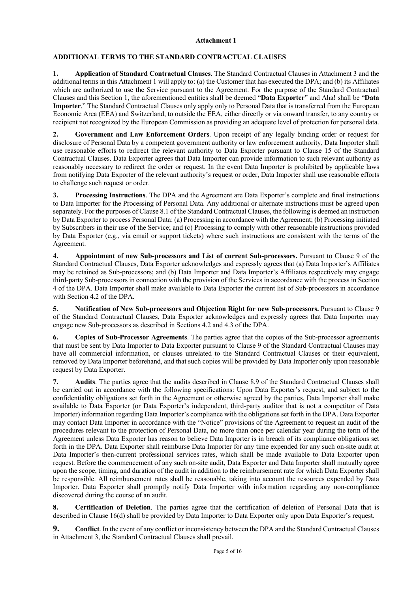### **Attachment 1**

# **ADDITIONAL TERMS TO THE STANDARD CONTRACTUAL CLAUSES**

**1. Application of Standard Contractual Clauses**. The Standard Contractual Clauses in Attachment 3 and the additional terms in this Attachment 1 will apply to: (a) the Customer that has executed the DPA; and (b) its Affiliates which are authorized to use the Service pursuant to the Agreement. For the purpose of the Standard Contractual Clauses and this Section 1, the aforementioned entities shall be deemed "**Data Exporter**" and Aha! shall be "**Data Importer**." The Standard Contractual Clauses only apply only to Personal Data that is transferred from the European Economic Area (EEA) and Switzerland, to outside the EEA, either directly or via onward transfer, to any country or recipient not recognized by the European Commission as providing an adequate level of protection for personal data.

**2. Government and Law Enforcement Orders**. Upon receipt of any legally binding order or request for disclosure of Personal Data by a competent government authority or law enforcement authority, Data Importer shall use reasonable efforts to redirect the relevant authority to Data Exporter pursuant to Clause 15 of the Standard Contractual Clauses. Data Exporter agrees that Data Importer can provide information to such relevant authority as reasonably necessary to redirect the order or request. In the event Data Importer is prohibited by applicable laws from notifying Data Exporter of the relevant authority's request or order, Data Importer shall use reasonable efforts to challenge such request or order.

**3. Processing Instructions**. The DPA and the Agreement are Data Exporter's complete and final instructions to Data Importer for the Processing of Personal Data. Any additional or alternate instructions must be agreed upon separately. For the purposes of Clause 8.1 of the Standard Contractual Clauses, the following is deemed an instruction by Data Exporter to process Personal Data: (a) Processing in accordance with the Agreement; (b) Processing initiated by Subscribers in their use of the Service; and (c) Processing to comply with other reasonable instructions provided by Data Exporter (e.g., via email or support tickets) where such instructions are consistent with the terms of the Agreement.

**4. Appointment of new Sub-processors and List of current Sub-processors.** Pursuant to Clause 9 of the Standard Contractual Clauses, Data Exporter acknowledges and expressly agrees that (a) Data Importer's Affiliates may be retained as Sub-processors; and (b) Data Importer and Data Importer's Affiliates respectively may engage third-party Sub-processors in connection with the provision of the Services in accordance with the process in Section 4 of the DPA. Data Importer shall make available to Data Exporter the current list of Sub-processors in accordance with Section 4.2 of the DPA.

**5. Notification of New Sub-processors and Objection Right for new Sub-processors.** Pursuant to Clause 9 of the Standard Contractual Clauses, Data Exporter acknowledges and expressly agrees that Data Importer may engage new Sub-processors as described in Sections 4.2 and 4.3 of the DPA.

**6. Copies of Sub-Processor Agreements**. The parties agree that the copies of the Sub-processor agreements that must be sent by Data Importer to Data Exporter pursuant to Clause 9 of the Standard Contractual Clauses may have all commercial information, or clauses unrelated to the Standard Contractual Clauses or their equivalent, removed by Data Importer beforehand, and that such copies will be provided by Data Importer only upon reasonable request by Data Exporter.

**7. Audits**. The parties agree that the audits described in Clause 8.9 of the Standard Contractual Clauses shall be carried out in accordance with the following specifications: Upon Data Exporter's request, and subject to the confidentiality obligations set forth in the Agreement or otherwise agreed by the parties, Data Importer shall make available to Data Exporter (or Data Exporter's independent, third-party auditor that is not a competitor of Data Importer) information regarding Data Importer's compliance with the obligations set forth in the DPA. Data Exporter may contact Data Importer in accordance with the "Notice" provisions of the Agreement to request an audit of the procedures relevant to the protection of Personal Data, no more than once per calendar year during the term of the Agreement unless Data Exporter has reason to believe Data Importer is in breach of its compliance obligations set forth in the DPA. Data Exporter shall reimburse Data Importer for any time expended for any such on-site audit at Data Importer's then-current professional services rates, which shall be made available to Data Exporter upon request. Before the commencement of any such on-site audit, Data Exporter and Data Importer shall mutually agree upon the scope, timing, and duration of the audit in addition to the reimbursement rate for which Data Exporter shall be responsible. All reimbursement rates shall be reasonable, taking into account the resources expended by Data Importer. Data Exporter shall promptly notify Data Importer with information regarding any non-compliance discovered during the course of an audit.

**8. Certification of Deletion**. The parties agree that the certification of deletion of Personal Data that is described in Clause 16(d) shall be provided by Data Importer to Data Exporter only upon Data Exporter's request.

**9. Conflict**. In the event of any conflict or inconsistency between the DPA and the Standard Contractual Clauses in Attachment 3, the Standard Contractual Clauses shall prevail.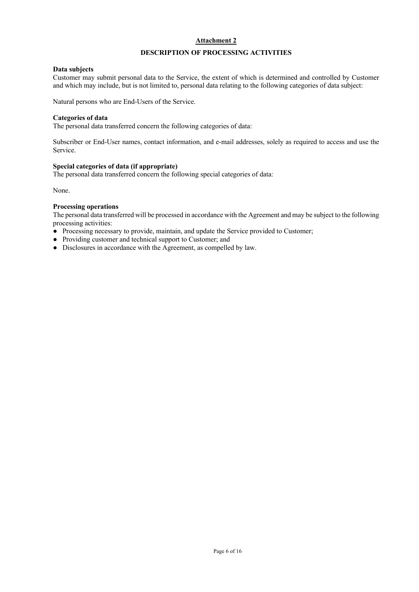#### **Attachment 2**

# **DESCRIPTION OF PROCESSING ACTIVITIES**

#### **Data subjects**

Customer may submit personal data to the Service, the extent of which is determined and controlled by Customer and which may include, but is not limited to, personal data relating to the following categories of data subject:

Natural persons who are End-Users of the Service.

#### **Categories of data**

The personal data transferred concern the following categories of data:

Subscriber or End-User names, contact information, and e-mail addresses, solely as required to access and use the Service.

## **Special categories of data (if appropriate)**

The personal data transferred concern the following special categories of data:

None.

#### **Processing operations**

The personal data transferred will be processed in accordance with the Agreement and may be subject to the following processing activities:

- Processing necessary to provide, maintain, and update the Service provided to Customer;
- Providing customer and technical support to Customer; and
- Disclosures in accordance with the Agreement, as compelled by law.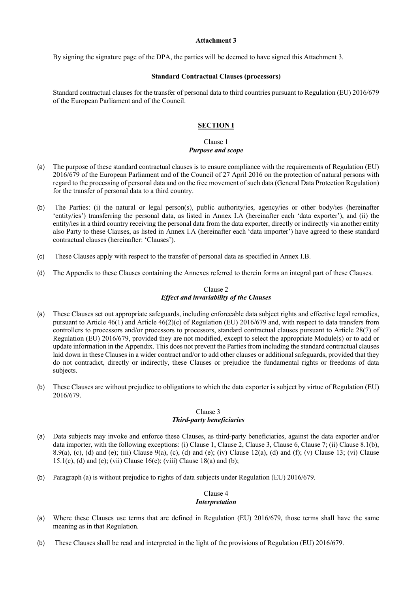#### **Attachment 3**

By signing the signature page of the DPA, the parties will be deemed to have signed this Attachment 3.

#### **Standard Contractual Clauses (processors)**

Standard contractual clauses for the transfer of personal data to third countries pursuant to Regulation (EU) 2016/679 of the European Parliament and of the Council.

## **SECTION I**

# Clause 1 *Purpose and scope*

- (a) The purpose of these standard contractual clauses is to ensure compliance with the requirements of Regulation (EU) 2016/679 of the European Parliament and of the Council of 27 April 2016 on the protection of natural persons with regard to the processing of personal data and on the free movement of such data (General Data Protection Regulation) for the transfer of personal data to a third country.
- (b) The Parties: (i) the natural or legal person(s), public authority/ies, agency/ies or other body/ies (hereinafter 'entity/ies') transferring the personal data, as listed in Annex I.A (hereinafter each 'data exporter'), and (ii) the entity/ies in a third country receiving the personal data from the data exporter, directly or indirectly via another entity also Party to these Clauses, as listed in Annex I.A (hereinafter each 'data importer') have agreed to these standard contractual clauses (hereinafter: 'Clauses').
- (c) These Clauses apply with respect to the transfer of personal data as specified in Annex I.B.
- (d) The Appendix to these Clauses containing the Annexes referred to therein forms an integral part of these Clauses.

## Clause 2 *Effect and invariability of the Clauses*

- (a) These Clauses set out appropriate safeguards, including enforceable data subject rights and effective legal remedies, pursuant to Article 46(1) and Article 46(2)(c) of Regulation (EU) 2016/679 and, with respect to data transfers from controllers to processors and/or processors to processors, standard contractual clauses pursuant to Article 28(7) of Regulation (EU) 2016/679, provided they are not modified, except to select the appropriate Module(s) or to add or update information in the Appendix. This does not prevent the Parties from including the standard contractual clauses laid down in these Clauses in a wider contract and/or to add other clauses or additional safeguards, provided that they do not contradict, directly or indirectly, these Clauses or prejudice the fundamental rights or freedoms of data subjects.
- (b) These Clauses are without prejudice to obligations to which the data exporter is subject by virtue of Regulation (EU) 2016/679.

# Clause 3

#### *Third-party beneficiaries*

- (a) Data subjects may invoke and enforce these Clauses, as third-party beneficiaries, against the data exporter and/or data importer, with the following exceptions: (i) Clause 1, Clause 2, Clause 3, Clause 6, Clause 7; (ii) Clause 8.1(b), 8.9(a), (c), (d) and (e); (iii) Clause 9(a), (c), (d) and (e); (iv) Clause 12(a), (d) and (f); (v) Clause 13; (vi) Clause 15.1(c), (d) and (e); (vii) Clause 16(e); (viii) Clause 18(a) and (b);
- (b) Paragraph (a) is without prejudice to rights of data subjects under Regulation (EU) 2016/679.

#### Clause 4 *Interpretation*

- (a) Where these Clauses use terms that are defined in Regulation (EU) 2016/679, those terms shall have the same meaning as in that Regulation.
- (b) These Clauses shall be read and interpreted in the light of the provisions of Regulation (EU) 2016/679.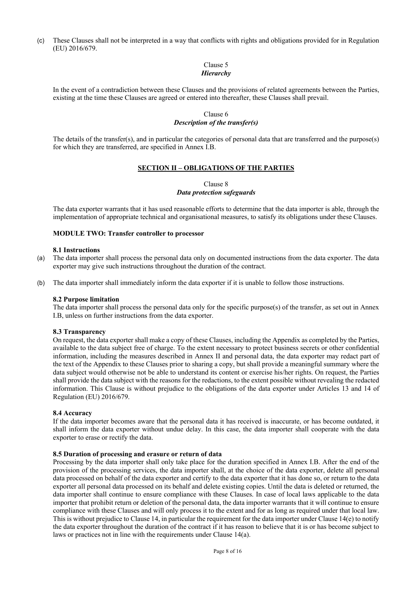(c) These Clauses shall not be interpreted in a way that conflicts with rights and obligations provided for in Regulation (EU) 2016/679.

#### Clause 5 *Hierarchy*

In the event of a contradiction between these Clauses and the provisions of related agreements between the Parties, existing at the time these Clauses are agreed or entered into thereafter, these Clauses shall prevail.

# Clause 6 *Description of the transfer(s)*

The details of the transfer(s), and in particular the categories of personal data that are transferred and the purpose(s) for which they are transferred, are specified in Annex I.B.

# **SECTION II – OBLIGATIONS OF THE PARTIES**

# Clause 8 *Data protection safeguards*

The data exporter warrants that it has used reasonable efforts to determine that the data importer is able, through the implementation of appropriate technical and organisational measures, to satisfy its obligations under these Clauses.

# **MODULE TWO: Transfer controller to processor**

#### **8.1 Instructions**

- (a) The data importer shall process the personal data only on documented instructions from the data exporter. The data exporter may give such instructions throughout the duration of the contract.
- (b) The data importer shall immediately inform the data exporter if it is unable to follow those instructions.

#### **8.2 Purpose limitation**

The data importer shall process the personal data only for the specific purpose(s) of the transfer, as set out in Annex I.B, unless on further instructions from the data exporter.

#### **8.3 Transparency**

On request, the data exporter shall make a copy of these Clauses, including the Appendix as completed by the Parties, available to the data subject free of charge. To the extent necessary to protect business secrets or other confidential information, including the measures described in Annex II and personal data, the data exporter may redact part of the text of the Appendix to these Clauses prior to sharing a copy, but shall provide a meaningful summary where the data subject would otherwise not be able to understand its content or exercise his/her rights. On request, the Parties shall provide the data subject with the reasons for the redactions, to the extent possible without revealing the redacted information. This Clause is without prejudice to the obligations of the data exporter under Articles 13 and 14 of Regulation (EU) 2016/679.

## **8.4 Accuracy**

If the data importer becomes aware that the personal data it has received is inaccurate, or has become outdated, it shall inform the data exporter without undue delay. In this case, the data importer shall cooperate with the data exporter to erase or rectify the data.

#### **8.5 Duration of processing and erasure or return of data**

Processing by the data importer shall only take place for the duration specified in Annex I.B. After the end of the provision of the processing services, the data importer shall, at the choice of the data exporter, delete all personal data processed on behalf of the data exporter and certify to the data exporter that it has done so, or return to the data exporter all personal data processed on its behalf and delete existing copies. Until the data is deleted or returned, the data importer shall continue to ensure compliance with these Clauses. In case of local laws applicable to the data importer that prohibit return or deletion of the personal data, the data importer warrants that it will continue to ensure compliance with these Clauses and will only process it to the extent and for as long as required under that local law. This is without prejudice to Clause 14, in particular the requirement for the data importer under Clause 14(e) to notify the data exporter throughout the duration of the contract if it has reason to believe that it is or has become subject to laws or practices not in line with the requirements under Clause 14(a).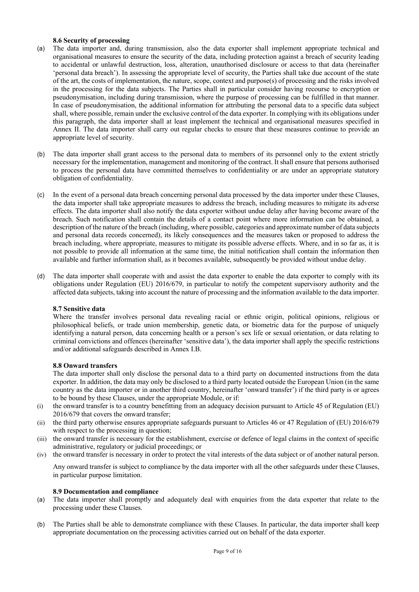#### **8.6 Security of processing**

- (a) The data importer and, during transmission, also the data exporter shall implement appropriate technical and organisational measures to ensure the security of the data, including protection against a breach of security leading to accidental or unlawful destruction, loss, alteration, unauthorised disclosure or access to that data (hereinafter 'personal data breach'). In assessing the appropriate level of security, the Parties shall take due account of the state of the art, the costs of implementation, the nature, scope, context and purpose(s) of processing and the risks involved in the processing for the data subjects. The Parties shall in particular consider having recourse to encryption or pseudonymisation, including during transmission, where the purpose of processing can be fulfilled in that manner. In case of pseudonymisation, the additional information for attributing the personal data to a specific data subject shall, where possible, remain under the exclusive control of the data exporter. In complying with its obligations under this paragraph, the data importer shall at least implement the technical and organisational measures specified in Annex II. The data importer shall carry out regular checks to ensure that these measures continue to provide an appropriate level of security.
- (b) The data importer shall grant access to the personal data to members of its personnel only to the extent strictly necessary for the implementation, management and monitoring of the contract. It shall ensure that persons authorised to process the personal data have committed themselves to confidentiality or are under an appropriate statutory obligation of confidentiality.
- (c) In the event of a personal data breach concerning personal data processed by the data importer under these Clauses, the data importer shall take appropriate measures to address the breach, including measures to mitigate its adverse effects. The data importer shall also notify the data exporter without undue delay after having become aware of the breach. Such notification shall contain the details of a contact point where more information can be obtained, a description of the nature of the breach (including, where possible, categories and approximate number of data subjects and personal data records concerned), its likely consequences and the measures taken or proposed to address the breach including, where appropriate, measures to mitigate its possible adverse effects. Where, and in so far as, it is not possible to provide all information at the same time, the initial notification shall contain the information then available and further information shall, as it becomes available, subsequently be provided without undue delay.
- (d) The data importer shall cooperate with and assist the data exporter to enable the data exporter to comply with its obligations under Regulation (EU) 2016/679, in particular to notify the competent supervisory authority and the affected data subjects, taking into account the nature of processing and the information available to the data importer.

#### **8.7 Sensitive data**

Where the transfer involves personal data revealing racial or ethnic origin, political opinions, religious or philosophical beliefs, or trade union membership, genetic data, or biometric data for the purpose of uniquely identifying a natural person, data concerning health or a person's sex life or sexual orientation, or data relating to criminal convictions and offences (hereinafter 'sensitive data'), the data importer shall apply the specific restrictions and/or additional safeguards described in Annex I.B.

#### **8.8 Onward transfers**

The data importer shall only disclose the personal data to a third party on documented instructions from the data exporter. In addition, the data may only be disclosed to a third party located outside the European Union (in the same country as the data importer or in another third country, hereinafter 'onward transfer') if the third party is or agrees to be bound by these Clauses, under the appropriate Module, or if:

- (i) the onward transfer is to a country benefitting from an adequacy decision pursuant to Article 45 of Regulation (EU) 2016/679 that covers the onward transfer;
- (ii) the third party otherwise ensures appropriate safeguards pursuant to Articles 46 or 47 Regulation of (EU) 2016/679 with respect to the processing in question;
- (iii) the onward transfer is necessary for the establishment, exercise or defence of legal claims in the context of specific administrative, regulatory or judicial proceedings; or
- (iv) the onward transfer is necessary in order to protect the vital interests of the data subject or of another natural person.

Any onward transfer is subject to compliance by the data importer with all the other safeguards under these Clauses, in particular purpose limitation.

#### **8.9 Documentation and compliance**

- (a) The data importer shall promptly and adequately deal with enquiries from the data exporter that relate to the processing under these Clauses.
- (b) The Parties shall be able to demonstrate compliance with these Clauses. In particular, the data importer shall keep appropriate documentation on the processing activities carried out on behalf of the data exporter.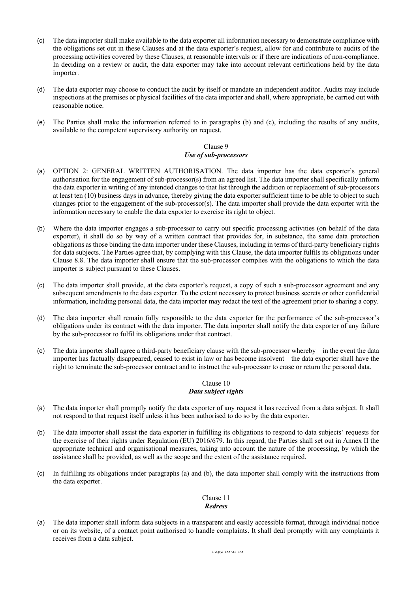- (c) The data importer shall make available to the data exporter all information necessary to demonstrate compliance with the obligations set out in these Clauses and at the data exporter's request, allow for and contribute to audits of the processing activities covered by these Clauses, at reasonable intervals or if there are indications of non-compliance. In deciding on a review or audit, the data exporter may take into account relevant certifications held by the data importer.
- (d) The data exporter may choose to conduct the audit by itself or mandate an independent auditor. Audits may include inspections at the premises or physical facilities of the data importer and shall, where appropriate, be carried out with reasonable notice.
- (e) The Parties shall make the information referred to in paragraphs (b) and (c), including the results of any audits, available to the competent supervisory authority on request.

## Clause 9 *Use of sub-processors*

- (a) OPTION 2: GENERAL WRITTEN AUTHORISATION. The data importer has the data exporter's general authorisation for the engagement of sub-processor(s) from an agreed list. The data importer shall specifically inform the data exporter in writing of any intended changes to that list through the addition or replacement of sub-processors at least ten (10) business days in advance, thereby giving the data exporter sufficient time to be able to object to such changes prior to the engagement of the sub-processor(s). The data importer shall provide the data exporter with the information necessary to enable the data exporter to exercise its right to object.
- (b) Where the data importer engages a sub-processor to carry out specific processing activities (on behalf of the data exporter), it shall do so by way of a written contract that provides for, in substance, the same data protection obligations as those binding the data importer under these Clauses, including in terms of third-party beneficiary rights for data subjects. The Parties agree that, by complying with this Clause, the data importer fulfils its obligations under Clause 8.8. The data importer shall ensure that the sub-processor complies with the obligations to which the data importer is subject pursuant to these Clauses.
- (c) The data importer shall provide, at the data exporter's request, a copy of such a sub-processor agreement and any subsequent amendments to the data exporter. To the extent necessary to protect business secrets or other confidential information, including personal data, the data importer may redact the text of the agreement prior to sharing a copy.
- (d) The data importer shall remain fully responsible to the data exporter for the performance of the sub-processor's obligations under its contract with the data importer. The data importer shall notify the data exporter of any failure by the sub-processor to fulfil its obligations under that contract.
- (e) The data importer shall agree a third-party beneficiary clause with the sub-processor whereby in the event the data importer has factually disappeared, ceased to exist in law or has become insolvent – the data exporter shall have the right to terminate the sub-processor contract and to instruct the sub-processor to erase or return the personal data.

# Clause 10 *Data subject rights*

- (a) The data importer shall promptly notify the data exporter of any request it has received from a data subject. It shall not respond to that request itself unless it has been authorised to do so by the data exporter.
- (b) The data importer shall assist the data exporter in fulfilling its obligations to respond to data subjects' requests for the exercise of their rights under Regulation (EU) 2016/679. In this regard, the Parties shall set out in Annex II the appropriate technical and organisational measures, taking into account the nature of the processing, by which the assistance shall be provided, as well as the scope and the extent of the assistance required.
- (c) In fulfilling its obligations under paragraphs (a) and (b), the data importer shall comply with the instructions from the data exporter.

#### Clause 11 *Redress*

(a) The data importer shall inform data subjects in a transparent and easily accessible format, through individual notice or on its website, of a contact point authorised to handle complaints. It shall deal promptly with any complaints it receives from a data subject.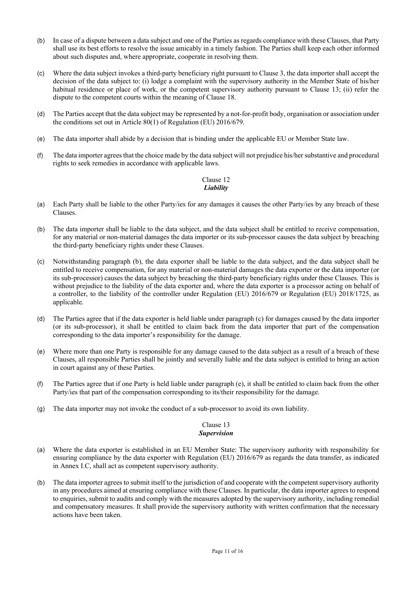- (b) In case of a dispute between a data subject and one of the Parties as regards compliance with these Clauses, that Party shall use its best efforts to resolve the issue amicably in a timely fashion. The Parties shall keep each other informed about such disputes and, where appropriate, cooperate in resolving them.
- (c) Where the data subject invokes a third-party beneficiary right pursuant to Clause 3, the data importer shall accept the decision of the data subject to: (i) lodge a complaint with the supervisory authority in the Member State of his/her habitual residence or place of work, or the competent supervisory authority pursuant to Clause 13; (ii) refer the dispute to the competent courts within the meaning of Clause 18.
- (d) The Parties accept that the data subject may be represented by a not-for-profit body, organisation or association under the conditions set out in Article 80(1) of Regulation (EU) 2016/679.
- (e) The data importer shall abide by a decision that is binding under the applicable EU or Member State law.
- (f) The data importer agrees that the choice made by the data subject will not prejudice his/her substantive and procedural rights to seek remedies in accordance with applicable laws.

# Clause 12 *Liability*

- (a) Each Party shall be liable to the other Party/ies for any damages it causes the other Party/ies by any breach of these Clauses.
- (b) The data importer shall be liable to the data subject, and the data subject shall be entitled to receive compensation, for any material or non-material damages the data importer or its sub-processor causes the data subject by breaching the third-party beneficiary rights under these Clauses.
- (c) Notwithstanding paragraph (b), the data exporter shall be liable to the data subject, and the data subject shall be entitled to receive compensation, for any material or non-material damages the data exporter or the data importer (or its sub-processor) causes the data subject by breaching the third-party beneficiary rights under these Clauses. This is without prejudice to the liability of the data exporter and, where the data exporter is a processor acting on behalf of a controller, to the liability of the controller under Regulation (EU) 2016/679 or Regulation (EU) 2018/1725, as applicable.
- (d) The Parties agree that if the data exporter is held liable under paragraph (c) for damages caused by the data importer (or its sub-processor), it shall be entitled to claim back from the data importer that part of the compensation corresponding to the data importer's responsibility for the damage.
- (e) Where more than one Party is responsible for any damage caused to the data subject as a result of a breach of these Clauses, all responsible Parties shall be jointly and severally liable and the data subject is entitled to bring an action in court against any of these Parties.
- (f) The Parties agree that if one Party is held liable under paragraph (e), it shall be entitled to claim back from the other Party/ies that part of the compensation corresponding to its/their responsibility for the damage.
- (g) The data importer may not invoke the conduct of a sub-processor to avoid its own liability.

#### Clause 13 *Supervision*

- (a) Where the data exporter is established in an EU Member State: The supervisory authority with responsibility for ensuring compliance by the data exporter with Regulation (EU) 2016/679 as regards the data transfer, as indicated in Annex I.C, shall act as competent supervisory authority.
- (b) The data importer agrees to submit itself to the jurisdiction of and cooperate with the competent supervisory authority in any procedures aimed at ensuring compliance with these Clauses. In particular, the data importer agrees to respond to enquiries, submit to audits and comply with the measures adopted by the supervisory authority, including remedial and compensatory measures. It shall provide the supervisory authority with written confirmation that the necessary actions have been taken.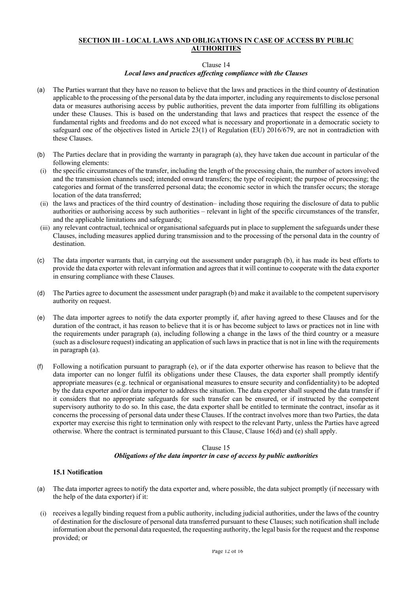# **SECTION III - LOCAL LAWS AND OBLIGATIONS IN CASE OF ACCESS BY PUBLIC AUTHORITIES**

# Clause 14

## *Local laws and practices affecting compliance with the Clauses*

- (a) The Parties warrant that they have no reason to believe that the laws and practices in the third country of destination applicable to the processing of the personal data by the data importer, including any requirements to disclose personal data or measures authorising access by public authorities, prevent the data importer from fulfilling its obligations under these Clauses. This is based on the understanding that laws and practices that respect the essence of the fundamental rights and freedoms and do not exceed what is necessary and proportionate in a democratic society to safeguard one of the objectives listed in Article 23(1) of Regulation (EU) 2016/679, are not in contradiction with these Clauses.
- (b) The Parties declare that in providing the warranty in paragraph (a), they have taken due account in particular of the following elements:
- (i) the specific circumstances of the transfer, including the length of the processing chain, the number of actors involved and the transmission channels used; intended onward transfers; the type of recipient; the purpose of processing; the categories and format of the transferred personal data; the economic sector in which the transfer occurs; the storage location of the data transferred;
- (ii) the laws and practices of the third country of destination– including those requiring the disclosure of data to public authorities or authorising access by such authorities – relevant in light of the specific circumstances of the transfer, and the applicable limitations and safeguards;
- (iii) any relevant contractual, technical or organisational safeguards put in place to supplement the safeguards under these Clauses, including measures applied during transmission and to the processing of the personal data in the country of destination.
- (c) The data importer warrants that, in carrying out the assessment under paragraph (b), it has made its best efforts to provide the data exporter with relevant information and agrees that it will continue to cooperate with the data exporter in ensuring compliance with these Clauses.
- (d) The Parties agree to document the assessment under paragraph (b) and make it available to the competent supervisory authority on request.
- (e) The data importer agrees to notify the data exporter promptly if, after having agreed to these Clauses and for the duration of the contract, it has reason to believe that it is or has become subject to laws or practices not in line with the requirements under paragraph (a), including following a change in the laws of the third country or a measure (such as a disclosure request) indicating an application of such laws in practice that is not in line with the requirements in paragraph (a).
- (f) Following a notification pursuant to paragraph (e), or if the data exporter otherwise has reason to believe that the data importer can no longer fulfil its obligations under these Clauses, the data exporter shall promptly identify appropriate measures (e.g. technical or organisational measures to ensure security and confidentiality) to be adopted by the data exporter and/or data importer to address the situation. The data exporter shall suspend the data transfer if it considers that no appropriate safeguards for such transfer can be ensured, or if instructed by the competent supervisory authority to do so. In this case, the data exporter shall be entitled to terminate the contract, insofar as it concerns the processing of personal data under these Clauses. If the contract involves more than two Parties, the data exporter may exercise this right to termination only with respect to the relevant Party, unless the Parties have agreed otherwise. Where the contract is terminated pursuant to this Clause, Clause 16(d) and (e) shall apply.

#### Clause 15 *Obligations of the data importer in case of access by public authorities*

## **15.1 Notification**

- (a) The data importer agrees to notify the data exporter and, where possible, the data subject promptly (if necessary with the help of the data exporter) if it:
- (i) receives a legally binding request from a public authority, including judicial authorities, under the laws of the country of destination for the disclosure of personal data transferred pursuant to these Clauses; such notification shall include information about the personal data requested, the requesting authority, the legal basis for the request and the response provided; or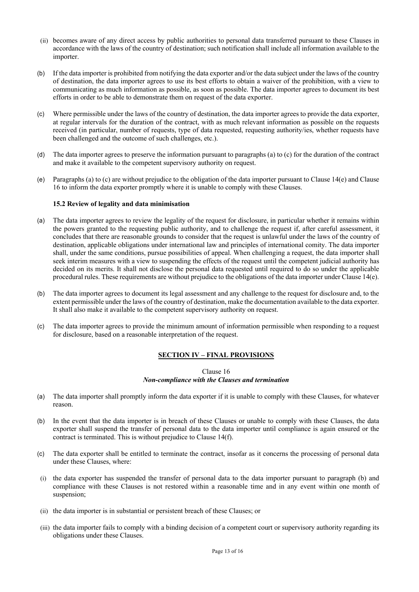- (ii) becomes aware of any direct access by public authorities to personal data transferred pursuant to these Clauses in accordance with the laws of the country of destination; such notification shall include all information available to the importer.
- (b) If the data importer is prohibited from notifying the data exporter and/or the data subject under the laws of the country of destination, the data importer agrees to use its best efforts to obtain a waiver of the prohibition, with a view to communicating as much information as possible, as soon as possible. The data importer agrees to document its best efforts in order to be able to demonstrate them on request of the data exporter.
- (c) Where permissible under the laws of the country of destination, the data importer agrees to provide the data exporter, at regular intervals for the duration of the contract, with as much relevant information as possible on the requests received (in particular, number of requests, type of data requested, requesting authority/ies, whether requests have been challenged and the outcome of such challenges, etc.).
- (d) The data importer agrees to preserve the information pursuant to paragraphs (a) to (c) for the duration of the contract and make it available to the competent supervisory authority on request.
- (e) Paragraphs (a) to (c) are without prejudice to the obligation of the data importer pursuant to Clause 14(e) and Clause 16 to inform the data exporter promptly where it is unable to comply with these Clauses.

#### **15.2 Review of legality and data minimisation**

- (a) The data importer agrees to review the legality of the request for disclosure, in particular whether it remains within the powers granted to the requesting public authority, and to challenge the request if, after careful assessment, it concludes that there are reasonable grounds to consider that the request is unlawful under the laws of the country of destination, applicable obligations under international law and principles of international comity. The data importer shall, under the same conditions, pursue possibilities of appeal. When challenging a request, the data importer shall seek interim measures with a view to suspending the effects of the request until the competent judicial authority has decided on its merits. It shall not disclose the personal data requested until required to do so under the applicable procedural rules. These requirements are without prejudice to the obligations of the data importer under Clause 14(e).
- (b) The data importer agrees to document its legal assessment and any challenge to the request for disclosure and, to the extent permissible under the laws of the country of destination, make the documentation available to the data exporter. It shall also make it available to the competent supervisory authority on request.
- (c) The data importer agrees to provide the minimum amount of information permissible when responding to a request for disclosure, based on a reasonable interpretation of the request.

#### **SECTION IV – FINAL PROVISIONS**

# Clause 16 *Non-compliance with the Clauses and termination*

- (a) The data importer shall promptly inform the data exporter if it is unable to comply with these Clauses, for whatever reason.
- (b) In the event that the data importer is in breach of these Clauses or unable to comply with these Clauses, the data exporter shall suspend the transfer of personal data to the data importer until compliance is again ensured or the contract is terminated. This is without prejudice to Clause 14(f).
- (c) The data exporter shall be entitled to terminate the contract, insofar as it concerns the processing of personal data under these Clauses, where:
- (i) the data exporter has suspended the transfer of personal data to the data importer pursuant to paragraph (b) and compliance with these Clauses is not restored within a reasonable time and in any event within one month of suspension;
- (ii) the data importer is in substantial or persistent breach of these Clauses; or
- (iii) the data importer fails to comply with a binding decision of a competent court or supervisory authority regarding its obligations under these Clauses.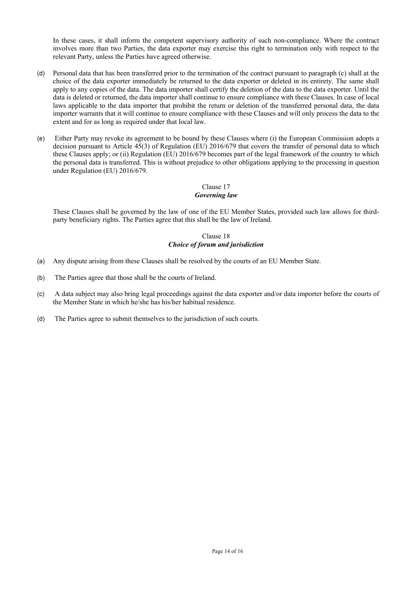In these cases, it shall inform the competent supervisory authority of such non-compliance. Where the contract involves more than two Parties, the data exporter may exercise this right to termination only with respect to the relevant Party, unless the Parties have agreed otherwise.

- (d) Personal data that has been transferred prior to the termination of the contract pursuant to paragraph (c) shall at the choice of the data exporter immediately be returned to the data exporter or deleted in its entirety. The same shall apply to any copies of the data. The data importer shall certify the deletion of the data to the data exporter. Until the data is deleted or returned, the data importer shall continue to ensure compliance with these Clauses. In case of local laws applicable to the data importer that prohibit the return or deletion of the transferred personal data, the data importer warrants that it will continue to ensure compliance with these Clauses and will only process the data to the extent and for as long as required under that local law.
- (e) Either Party may revoke its agreement to be bound by these Clauses where (i) the European Commission adopts a decision pursuant to Article 45(3) of Regulation (EU) 2016/679 that covers the transfer of personal data to which these Clauses apply; or (ii) Regulation (EU) 2016/679 becomes part of the legal framework of the country to which the personal data is transferred. This is without prejudice to other obligations applying to the processing in question under Regulation (EU) 2016/679.

# Clause 17

#### *Governing law*

These Clauses shall be governed by the law of one of the EU Member States, provided such law allows for thirdparty beneficiary rights. The Parties agree that this shall be the law of Ireland.

# Clause 18 *Choice of forum and jurisdiction*

- (a) Any dispute arising from these Clauses shall be resolved by the courts of an EU Member State.
- (b) The Parties agree that those shall be the courts of Ireland.
- (c) A data subject may also bring legal proceedings against the data exporter and/or data importer before the courts of the Member State in which he/she has his/her habitual residence.
- (d) The Parties agree to submit themselves to the jurisdiction of such courts.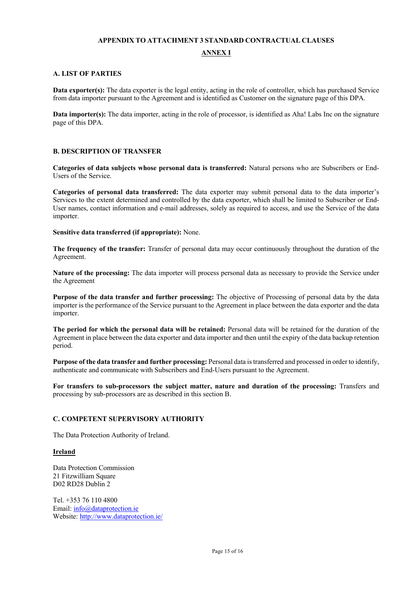#### **APPENDIX TO ATTACHMENT 3 STANDARD CONTRACTUAL CLAUSES**

# **ANNEX I**

## **A. LIST OF PARTIES**

**Data exporter(s):** The data exporter is the legal entity, acting in the role of controller, which has purchased Service from data importer pursuant to the Agreement and is identified as Customer on the signature page of this DPA.

**Data importer(s):** The data importer, acting in the role of processor, is identified as Aha! Labs Inc on the signature page of this DPA.

## **B. DESCRIPTION OF TRANSFER**

**Categories of data subjects whose personal data is transferred:** Natural persons who are Subscribers or End-Users of the Service.

**Categories of personal data transferred:** The data exporter may submit personal data to the data importer's Services to the extent determined and controlled by the data exporter, which shall be limited to Subscriber or End-User names, contact information and e-mail addresses, solely as required to access, and use the Service of the data importer.

**Sensitive data transferred (if appropriate):** None.

**The frequency of the transfer:** Transfer of personal data may occur continuously throughout the duration of the Agreement.

**Nature of the processing:** The data importer will process personal data as necessary to provide the Service under the Agreement

**Purpose of the data transfer and further processing:** The objective of Processing of personal data by the data importer is the performance of the Service pursuant to the Agreement in place between the data exporter and the data importer.

**The period for which the personal data will be retained:** Personal data will be retained for the duration of the Agreement in place between the data exporter and data importer and then until the expiry of the data backup retention period.

**Purpose of the data transfer and further processing:** Personal data is transferred and processed in order to identify, authenticate and communicate with Subscribers and End-Users pursuant to the Agreement.

**For transfers to sub-processors the subject matter, nature and duration of the processing:** Transfers and processing by sub-processors are as described in this section B.

# **C. COMPETENT SUPERVISORY AUTHORITY**

The Data Protection Authority of Ireland.

#### **Ireland**

Data Protection Commission 21 Fitzwilliam Square D02 RD28 Dublin 2

Tel. +353 76 110 4800 Email: info@dataprotection.ie Website: http://www.dataprotection.ie/